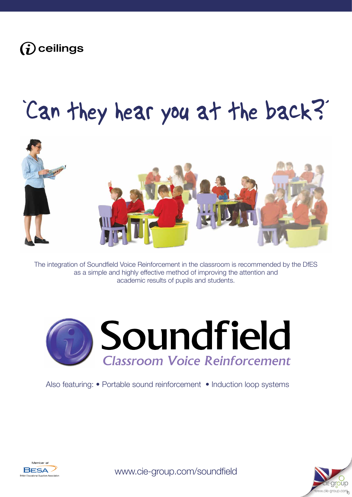

# 'Can they hear you at the back?'



The integration of Soundfield Voice Reinforcement in the classroom is recommended by the DfES as a simple and highly effective method of improving the attention and academic results of pupils and students.



Also featuring: • Portable sound reinforcement • Induction loop systems



[www.cie-group.com/soundfield](http://www.cie-group.com/shop/audio-visual_1/soundfield_13/soundfield-systems_1000/)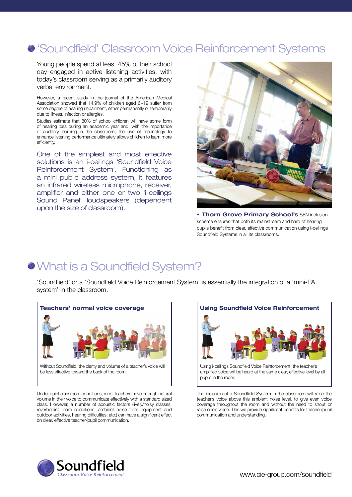### 'Soundfield' Classroom Voice Reinforcement Systems

Young people spend at least 45% of their school day engaged in active listening activities, with today's classroom serving as a primarily auditory verbal environment.

However, a recent study in the journal of the American Medical Association showed that 14.9% of children aged 6~19 suffer from some degree of hearing impairment, either permanently or temporarily due to illness, infection or allergies.

Studies estimate that 80% of school children will have some form of hearing loss during an academic year and, with the importance of auditory learning in the classroom, the use of technology to enhance listening performance ultimately allows children to learn more efficiently.

One of the simplest and most effective solutions is an i-ceilings 'Soundfield Voice Reinforcement System'. Functioning as a mini public address system, it features an infrared wireless microphone, receiver, amplifier and either one or two 'i-ceilings Sound Panel' loudspeakers (dependent upon the size of classroom).



**• Thorn Grove Primary School's** SEN inclusion scheme ensures that both its mainstream and hard of hearing pupils benefit from clear, effective communication using i-ceilings Soundfield Systems in all its classrooms.

### What is a Soundfield System?

'Soundfield' or a 'Soundfield Voice Reinforcement System' is essentially the integration of a 'mini-PA system' in the classroom.



be less effective toward the back of the room.

Under quiet classroom conditions, most teachers have enough natural volume in their voice to communicate effectively with a standard sized class. However, a number of acoustic factors (lively/noisy classes, reverberant room conditions, ambient noise from equipment and outdoor activities, hearing difficulties, etc.) can have a significant effect on clear, effective teacher/pupil communication.



amplified voice will be heard at the same clear, effective level by all pupils in the room.

The inclusion of a Soundfield System in the classroom will raise the teacher's voice above this ambient noise level, to give even voice coverage throughout the room and without the need to shout or raise one's voice. This will provide significant benefits for teacher/pupil communication and understanding.

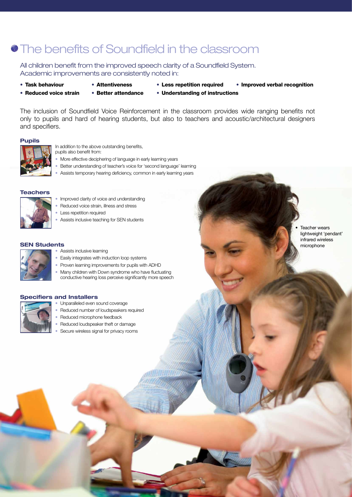### **• The benefits of Soundfield in the classroom**

All children benefit from the improved speech clarity of a Soundfield System. Academic improvements are consistently noted in:

- 
- 
- 
- Task behaviour Attentiveness Less repetition required Improved verbal recognition
- 
- 
- Reduced voice strain Better attendance Understanding of instructions

The inclusion of Soundfield Voice Reinforcement in the classroom provides wide ranging benefits not only to pupils and hard of hearing students, but also to teachers and acoustic/architectural designers and specifiers.

### **Pupils**



In addition to the above outstanding benefits, pupils also benefit from:

- More effective deciphering of language in early learning years
- Better understanding of teacher's voice for 'second language' learning
- Assists temporary hearing deficiency, common in early learning years

#### **Teachers**



- Reduced voice strain, illness and stress
- Less repetition required
- Assists inclusive teaching for SEN students

#### **SEN Students**



- Assists inclusive learning
- Easily integrates with induction loop systems
- Proven learning improvements for pupils with ADHD
- Many children with Down syndrome who have fluctuating conductive hearing loss perceive significantly more speech

### **Specifiers and Installers**



- Unparalleled even sound coverage
- Reduced number of loudspeakers required
- Reduced microphone feedback
- Reduced loudspeaker theft or damage
- Secure wireless signal for privacy rooms

**Teacher wears** lightweight 'pendant' infrared wireless microphone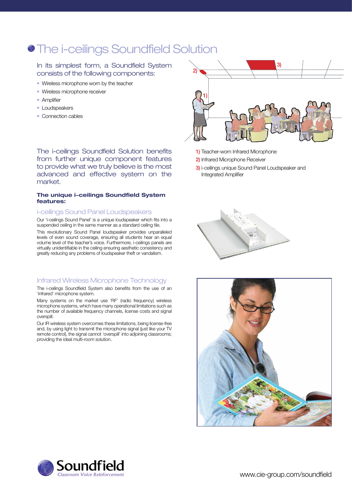### **• The i-ceilings Soundfield Solution**

### In its simplest form, a Soundfield System consists of the following components:

- Wireless microphone worn by the teacher
- Wireless microphone receiver
- Amplifier
- Loudspeakers
- Connection cables

The i-ceilings Soundfield Solution benefits from further unique component features to provide what we truly believe is the most advanced and effective system on the market.

### **The unique i-ceilings Soundfield System features:**

#### i-ceilings Sound Panel Loudspeakers

Our 'i-ceilings Sound Panel' is a unique loudspeaker which fits into a suspended ceiling in the same manner as a standard ceiling tile.

This revolutionary Sound Panel loudspeaker provides unparalleled levels of even sound coverage, ensuring all students hear an equal volume level of the teacher's voice. Furthermore, i-ceilings panels are virtually unidentifiable in the ceiling ensuring aesthetic consistency and greatly reducing any problems of loudspeaker theft or vandalism.

### Infrared Wireless Microphone Technology

The i-ceilings Soundfield System also benefits from the use of an 'infrared' microphone system.

Many systems on the market use 'RF' (radio frequency) wireless microphone systems, which have many operational limitations such as the number of available frequency channels, license costs and signal overspill.

Our IR wireless system overcomes these limitations, being license-free and, by using light to transmit the microphone signal (just like your TV remote control), the signal cannot 'overspill' into adjoining classrooms; providing the ideal multi-room solution.



- 1) Teacher-worn Infrared Microphone
- 2) Infrared Microphone Receiver
- 3) i-ceilings unique Sound Panel Loudspeaker and Integrated Amplifier





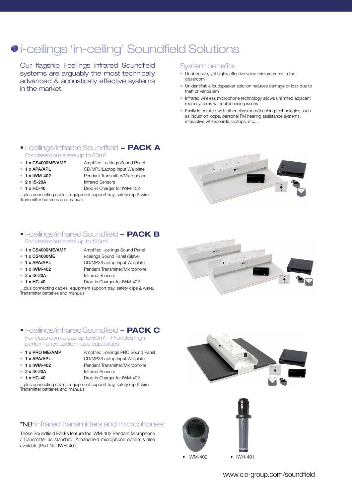### $\bullet$  **i-ceilings 'in-ceiling' Soundfield Solutions**

Our flagship i-ceilings infrared Soundfield systems are arguably the most technically advanced & acoustically effective systems in the market.

### System benefits:

- Unobtrusive, yet highly effective voice reinforcement in the classroom
- Unidentifiable loudspeaker solution reduces damage or loss due to theft or vandalism
- Infrared wireless microphone technology allows unlimited adjacent room systems without licensing issues
- Easily integrated with other classroom/teaching technologies such as induction loops, personal FM hearing assistance systems, interactive whiteboards, laptops, etc,...
- [i-ceilings/infrared Soundfield](http://www.cie-group.com/shop/audio-visual_1/soundfield_13/soundfield-systems_1000/soundfield-system-includes-i-ceilings-cs4000/amp-powered-sound-panel-ir-microphone--accessories_919.php)  **PACK A** For classroom areas up to 60m²
- 1 x CS4000ME/AMP Amplified i-ceilings Sound Panel
- 
- **1 x APA/APL** CD/MP3/Laptop Input Wallplate
- 
- 1 x IWM-402 Pendant Transmitter/Microphone
- 2 x IS-20A Infrared Sensors
- 
- 1 x HC-40 Drop-in Charger for IWM-402

...plus connecting cables, equipment support tray, safety clip & wire, Transmitter batteries and manuals



### • [i-ceilings/infrared Soundfield](http://www.cie-group.com/shop/audio-visual_1/soundfield_13/soundfield-systems_1000/soundfield-system-includes-1x-cs4000/amp--1x-cs400-passive-sound-panels-ir-mic--accessories_920.php) **- PACK B** For classroom areas up to 120m²

- 1 x CS4000ME/AMP Amplified i-ceilings Sound Panel
- 1 x CS4000ME i-ceilings Sound Panel (Slave)
- 
- 
- 
- 
- 1 x APA/APL CD/MP3/Laptop Input Wallplate • 1 x IWM-402 Pendant Transmitter/Microphone • 2 x IS-20A Infrared Sensors
- 1 x HC-40 Drop-in Charger for IWM-402
- 

...plus connecting cables, equipment support tray, safety clips & wires, Transmitter batteries and manuals

#### For classroom areas up to 60m² - Provides high performance audio/music capabilities • [i-ceilings/infrared Soundfield](http://www.cie-group.com/shop/audio-visual_1/soundfield_13/soundfield-systems_1000/soundfield-system-i-ceilings-pro/amp-powered-sound-panel-infrared-microphone--all-accessories_921.php) **- PACK C**

- 
- 1 x PRO ME/AMP Amplified i-ceilings PRO Sound Panel
- 1 x APA/APL CD/MP3/Laptop Input Wallplate
- 1 x IWM-402 Pendant Transmitter/Microphone
- 
- 
- 2 x IS-20A Infrared Sensors
- 1 x HC-40 Drop-in Charger for IWM-402

...plus connecting cables, equipment support tray, safety clip & wire, Transmitter batteries and manuals

### \*NB: infrared transmitters and microphones:

These Soundfield Packs feature the IWM-402 Pendant Microphone / Transmitter as standard. A handheld microphone option is also available (Part No. IWH-401).



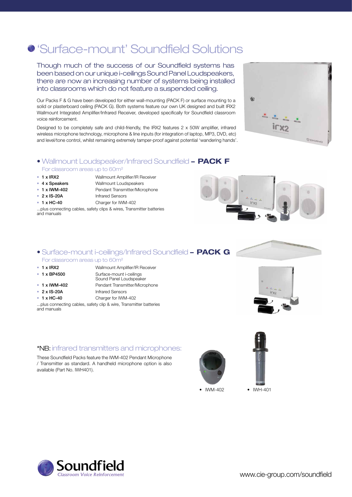### 'Surface-mount' Soundfield Solutions

Though much of the success of our Soundfield systems has been based on our unique i-ceilings Sound Panel Loudspeakers, [there are now an increasing number of systems being installed](http://www.cie-group.com/shop/audio-visual_1/soundfield_13/soundfield-systems_1000/irx2-wallmount-infrared-soundfield-system_4830.php)  into classrooms which do not feature a suspended ceiling.

Our Packs F & G have been developed for either wall-mounting (PACK F) or surface mounting to a solid or plasterboard ceiling (PACK G). Both systems feature our own UK designed and built IRX2 Wallmount Integrated Amplifier/Infrared Receiver, developed specifically for Soundfield classroom voice reinforcement.

Designed to be completely safe and child-friendly, the IRX2 features 2 x 50W amplifier, infrared wireless microphone technology, microphone & line inputs (for integration of laptop, MP3, DVD, etc) and level/tone control, whilst remaining extremely tamper-proof against potential 'wandering hands'.

## $irx2$

 $\omega$ 

### • [Wallmount Loudspeaker/Infrared Soundfield](http://www.cie-group.com/shop/audio-visual_1/soundfield_13/soundfield-systems_1000/soundfield-system-incl-irx2-ir-rec/amp-4x-wallmount-speakers-ir-mic_922.php) **- PACK F**

### For classroom areas up to 60m²

- 1 x IRX2 Wallmount Amplifier/IR Receiver
- 
- 
- 2 x IS-20A Infrared Sensors
- 1 x HC-40 Charger for IWM-402
- 4 x Speakers Wallmount Loudspeakers • 1 x IWM-402 Pendant Transmitter/Microphone
	-
	-
- ...plus connecting cables, safety clips & wires, Transmitter batteries and manuals



**VCHIAVO** 

### • [Surface-mount i-ceilings/Infrared Soundfield](http://www.cie-group.com/shop/audio-visual_1/soundfield_13/soundfield-systems_1000/soundfield-system-incl-irx2-wallmount-ir-rec/amp--cs4500me_923.php) **- PACK G** For classroom areas up to 60m²

- 1 x IRX2 Wallmount Amplifier/IR Receiver
- 
- 
- 
- 
- 1 x BP4500 Surface-mount i-ceilings Sound Panel Loudspeaker • 1 x IWM-402 Pendant Transmitter/Microphone • 2 x IS-20A Infrared Sensors
- 1 x HC-40 Charger for IWM-402
- ...plus connecting cables, safety clip & wire, Transmitter batteries and manuals

### \*NB: infrared transmitters and microphones:

These Soundfield Packs feature the IWM-402 Pendant Microphone / Transmitter as standard. A handheld microphone option is also available (Part No. IWH401).





• IWM-402 • IWH-401

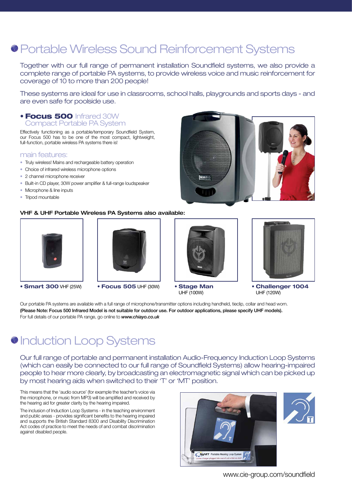### Portable Wireless Sound Reinforcement Systems

Together with our full range of permanent installation Soundfield systems, we also provide a complete range of portable PA systems, to provide wireless voice and music reinforcement for coverage of 10 to more than 200 people!

These systems are ideal for use in classrooms, school halls, playgrounds and sports days - and are even safe for poolside use.

### • Focus 500 Infrared 30W Compact Portable PA System

Effectively functioning as a portable/temporary Soundfield System, our Focus 500 has to be one of the most compact, lightweight, full-function, portable wireless PA systems there is!

#### main features:

- Truly wireless! Mains and rechargeable battery operation
- Choice of infrared wireless microphone options
- 2 channel microphone receiver
- Built-in CD player, 30W power amplifier & full-range loudspeaker
- Microphone & line inputs
- Tripod mountable

### VHF & UHF Portable Wireless PA Systems also available:





- **• Smart 300** VHF (25W) **• Focus 505** UHF (30W) **• Stage Man**
- 



UHF (100W)



**• Challenger 1004** UHF (120W)

Our portable PA systems are available with a full range of microphone/transmitter options including handheld, tieclip, collar and head worn. (Please Note: Focus 500 Infrared Model is not suitable for outdoor use. For outdoor applications, please specify UHF models). For full details of our portable PA range, go online to *www.chiayo.co.uk*

### **O** Induction Loop Systems

Our full range of portable and permanent installation Audio-Frequency Induction Loop Systems (which can easily be connected to our full range of Soundfield Systems) allow hearing-impaired people to hear more clearly, by broadcasting an electromagnetic signal which can be picked up by most hearing aids when switched to their 'T' or 'MT' position.

This means that the 'audio source' (for example the teacher's voice via the microphone, or music from MP3) will be amplified and received by the hearing aid for greater clarity by the hearing impaired.

The inclusion of Induction Loop Systems - in the teaching environment and public areas - provides significant benefits to the hearing impaired and supports the British Standard 8300 and Disability Discrimination Act codes of practice to meet the needs of and combat discrimination against disabled people.



[www.cie-group.com/soundfield](http://www.cie-group.com/shop/audio-visual_1/soundfield_13/soundfield-systems_1000/)